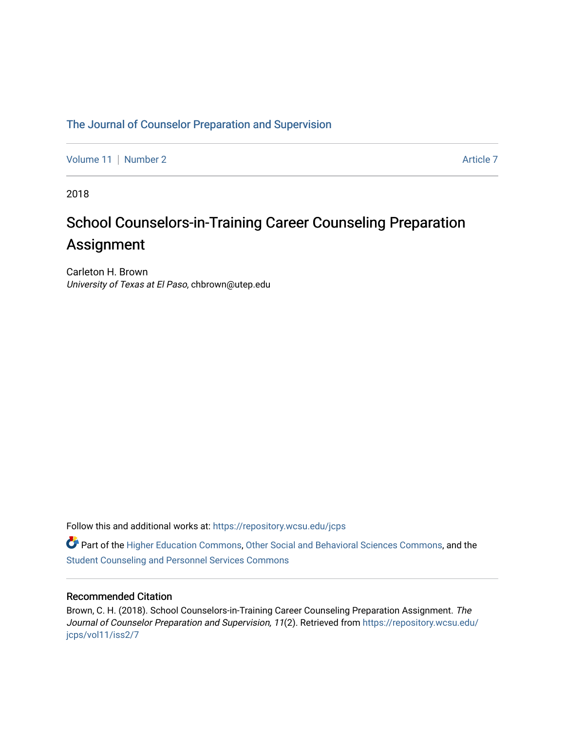# [The Journal of Counselor Preparation and Supervision](https://repository.wcsu.edu/jcps)

[Volume 11](https://repository.wcsu.edu/jcps/vol11) | [Number 2](https://repository.wcsu.edu/jcps/vol11/iss2) Article 7

2018

# School Counselors-in-Training Career Counseling Preparation Assignment

Carleton H. Brown University of Texas at El Paso, chbrown@utep.edu

Follow this and additional works at: [https://repository.wcsu.edu/jcps](https://repository.wcsu.edu/jcps?utm_source=repository.wcsu.edu%2Fjcps%2Fvol11%2Fiss2%2F7&utm_medium=PDF&utm_campaign=PDFCoverPages) 

Part of the [Higher Education Commons,](http://network.bepress.com/hgg/discipline/1245?utm_source=repository.wcsu.edu%2Fjcps%2Fvol11%2Fiss2%2F7&utm_medium=PDF&utm_campaign=PDFCoverPages) [Other Social and Behavioral Sciences Commons,](http://network.bepress.com/hgg/discipline/437?utm_source=repository.wcsu.edu%2Fjcps%2Fvol11%2Fiss2%2F7&utm_medium=PDF&utm_campaign=PDFCoverPages) and the [Student Counseling and Personnel Services Commons](http://network.bepress.com/hgg/discipline/802?utm_source=repository.wcsu.edu%2Fjcps%2Fvol11%2Fiss2%2F7&utm_medium=PDF&utm_campaign=PDFCoverPages)

### Recommended Citation

Brown, C. H. (2018). School Counselors-in-Training Career Counseling Preparation Assignment. The Journal of Counselor Preparation and Supervision, 11(2). Retrieved from [https://repository.wcsu.edu/](https://repository.wcsu.edu/jcps/vol11/iss2/7?utm_source=repository.wcsu.edu%2Fjcps%2Fvol11%2Fiss2%2F7&utm_medium=PDF&utm_campaign=PDFCoverPages) [jcps/vol11/iss2/7](https://repository.wcsu.edu/jcps/vol11/iss2/7?utm_source=repository.wcsu.edu%2Fjcps%2Fvol11%2Fiss2%2F7&utm_medium=PDF&utm_campaign=PDFCoverPages)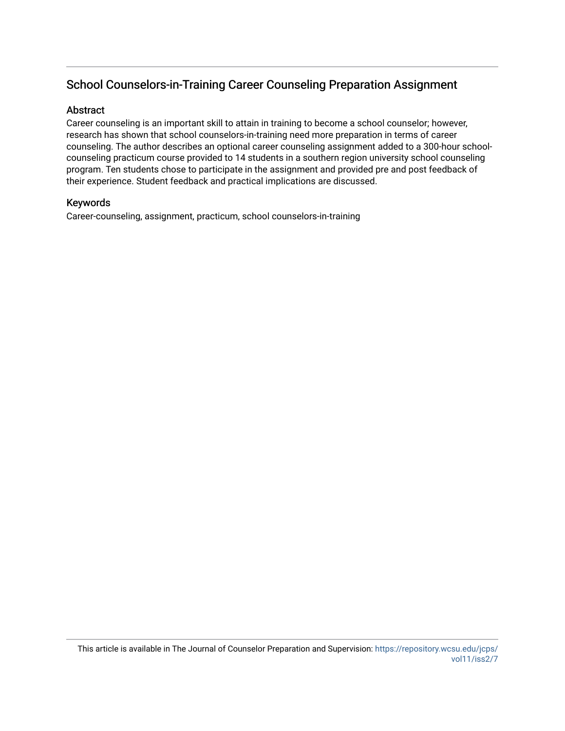# School Counselors-in-Training Career Counseling Preparation Assignment

# **Abstract**

Career counseling is an important skill to attain in training to become a school counselor; however, research has shown that school counselors-in-training need more preparation in terms of career counseling. The author describes an optional career counseling assignment added to a 300-hour schoolcounseling practicum course provided to 14 students in a southern region university school counseling program. Ten students chose to participate in the assignment and provided pre and post feedback of their experience. Student feedback and practical implications are discussed.

## Keywords

Career-counseling, assignment, practicum, school counselors-in-training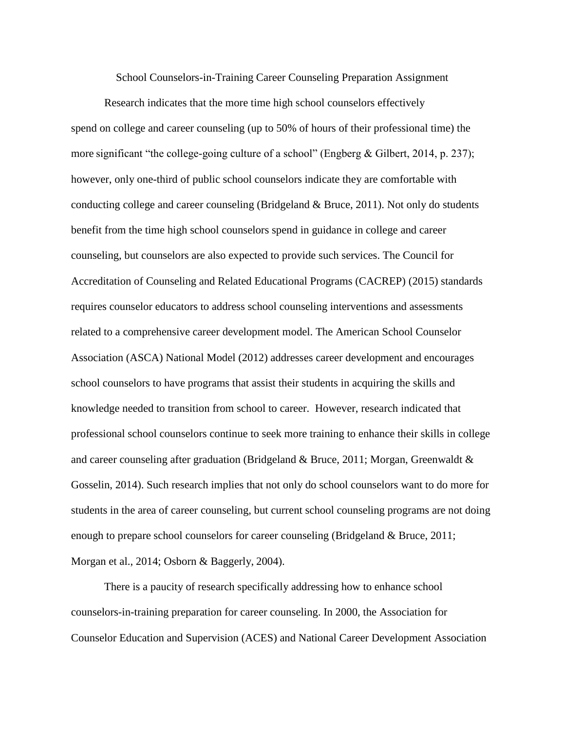School Counselors-in-Training Career Counseling Preparation Assignment

Research indicates that the more time high school counselors effectively spend on college and career counseling (up to 50% of hours of their professional time) the more significant "the college-going culture of a school" (Engberg & Gilbert, 2014, p. 237); however, only one-third of public school counselors indicate they are comfortable with conducting college and career counseling (Bridgeland  $\&$  Bruce, 2011). Not only do students benefit from the time high school counselors spend in guidance in college and career counseling, but counselors are also expected to provide such services. The Council for Accreditation of Counseling and Related Educational Programs (CACREP) (2015) standards requires counselor educators to address school counseling interventions and assessments related to a comprehensive career development model. The American School Counselor Association (ASCA) National Model (2012) addresses career development and encourages school counselors to have programs that assist their students in acquiring the skills and knowledge needed to transition from school to career. However, research indicated that professional school counselors continue to seek more training to enhance their skills in college and career counseling after graduation (Bridgeland  $\&$  Bruce, 2011; Morgan, Greenwaldt  $\&$ Gosselin, 2014). Such research implies that not only do school counselors want to do more for students in the area of career counseling, but current school counseling programs are not doing enough to prepare school counselors for career counseling (Bridgeland & Bruce, 2011; Morgan et al., 2014; Osborn & Baggerly, 2004).

There is a paucity of research specifically addressing how to enhance school counselors-in-training preparation for career counseling. In 2000, the Association for Counselor Education and Supervision (ACES) and National Career Development Association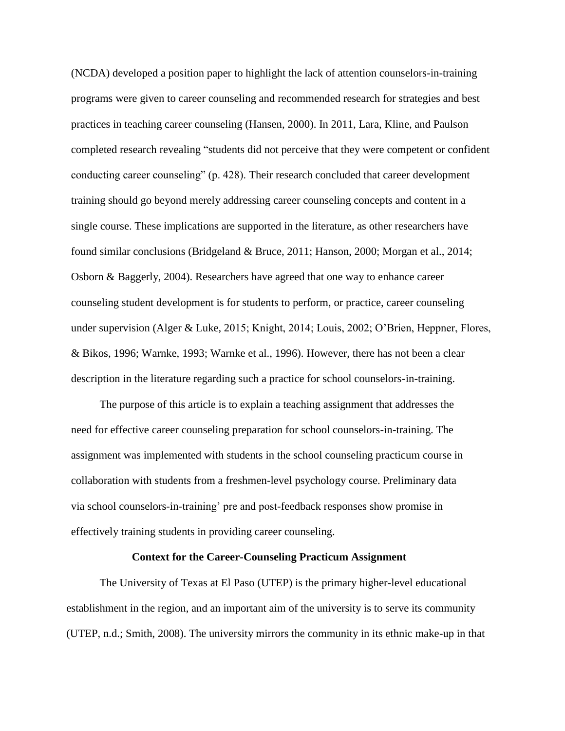(NCDA) developed a position paper to highlight the lack of attention counselors-in-training programs were given to career counseling and recommended research for strategies and best practices in teaching career counseling (Hansen, 2000). In 2011, Lara, Kline, and Paulson completed research revealing "students did not perceive that they were competent or confident conducting career counseling" (p. 428). Their research concluded that career development training should go beyond merely addressing career counseling concepts and content in a single course. These implications are supported in the literature, as other researchers have found similar conclusions (Bridgeland & Bruce, 2011; Hanson, 2000; Morgan et al., 2014; Osborn & Baggerly, 2004). Researchers have agreed that one way to enhance career counseling student development is for students to perform, or practice, career counseling under supervision (Alger & Luke, 2015; Knight, 2014; Louis, 2002; O'Brien, Heppner, Flores, & Bikos, 1996; Warnke, 1993; Warnke et al., 1996). However, there has not been a clear description in the literature regarding such a practice for school counselors-in-training.

The purpose of this article is to explain a teaching assignment that addresses the need for effective career counseling preparation for school counselors-in-training. The assignment was implemented with students in the school counseling practicum course in collaboration with students from a freshmen-level psychology course. Preliminary data via school counselors-in-training' pre and post-feedback responses show promise in effectively training students in providing career counseling.

#### **Context for the Career-Counseling Practicum Assignment**

The University of Texas at El Paso (UTEP) is the primary higher-level educational establishment in the region, and an important aim of the university is to serve its community (UTEP, n.d.; Smith, 2008). The university mirrors the community in its ethnic make-up in that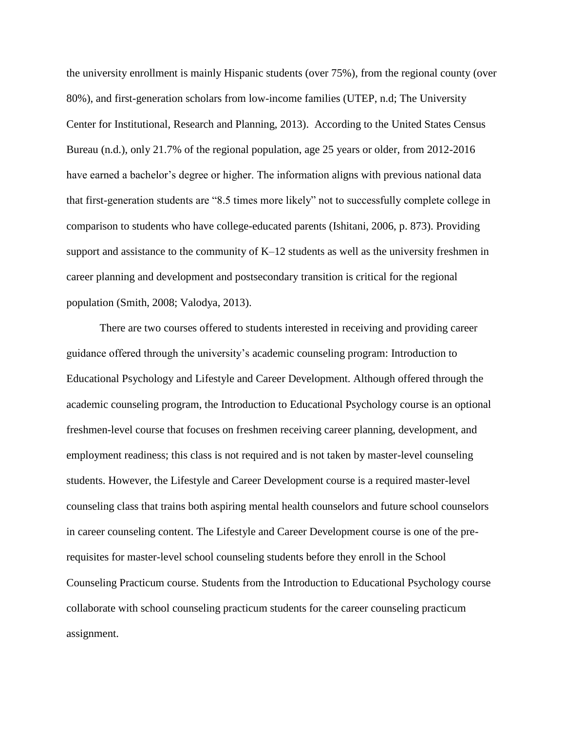the university enrollment is mainly Hispanic students (over 75%), from the regional county (over 80%), and first-generation scholars from low-income families (UTEP, n.d; The University Center for Institutional, Research and Planning, 2013). According to the United States Census Bureau (n.d.), only 21.7% of the regional population, age 25 years or older, from 2012-2016 have earned a bachelor's degree or higher. The information aligns with previous national data that first-generation students are "8.5 times more likely" not to successfully complete college in comparison to students who have college-educated parents (Ishitani, 2006, p. 873). Providing support and assistance to the community of K–12 students as well as the university freshmen in career planning and development and postsecondary transition is critical for the regional population (Smith, 2008; Valodya, 2013).

There are two courses offered to students interested in receiving and providing career guidance offered through the university's academic counseling program: Introduction to Educational Psychology and Lifestyle and Career Development. Although offered through the academic counseling program, the Introduction to Educational Psychology course is an optional freshmen-level course that focuses on freshmen receiving career planning, development, and employment readiness; this class is not required and is not taken by master-level counseling students. However, the Lifestyle and Career Development course is a required master-level counseling class that trains both aspiring mental health counselors and future school counselors in career counseling content. The Lifestyle and Career Development course is one of the prerequisites for master-level school counseling students before they enroll in the School Counseling Practicum course. Students from the Introduction to Educational Psychology course collaborate with school counseling practicum students for the career counseling practicum assignment.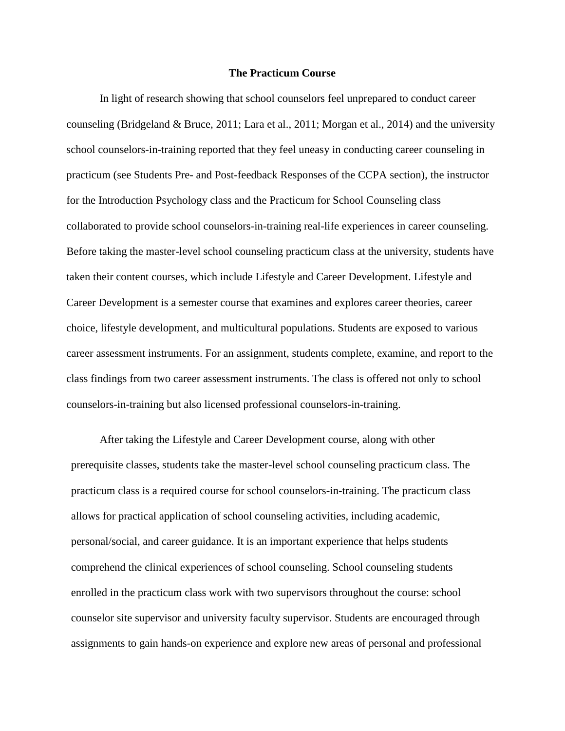#### **The Practicum Course**

In light of research showing that school counselors feel unprepared to conduct career counseling (Bridgeland & Bruce, 2011; Lara et al., 2011; Morgan et al., 2014) and the university school counselors-in-training reported that they feel uneasy in conducting career counseling in practicum (see Students Pre- and Post-feedback Responses of the CCPA section), the instructor for the Introduction Psychology class and the Practicum for School Counseling class collaborated to provide school counselors-in-training real-life experiences in career counseling. Before taking the master-level school counseling practicum class at the university, students have taken their content courses, which include Lifestyle and Career Development. Lifestyle and Career Development is a semester course that examines and explores career theories, career choice, lifestyle development, and multicultural populations. Students are exposed to various career assessment instruments. For an assignment, students complete, examine, and report to the class findings from two career assessment instruments. The class is offered not only to school counselors-in-training but also licensed professional counselors-in-training.

After taking the Lifestyle and Career Development course, along with other prerequisite classes, students take the master-level school counseling practicum class. The practicum class is a required course for school counselors-in-training. The practicum class allows for practical application of school counseling activities, including academic, personal/social, and career guidance. It is an important experience that helps students comprehend the clinical experiences of school counseling. School counseling students enrolled in the practicum class work with two supervisors throughout the course: school counselor site supervisor and university faculty supervisor. Students are encouraged through assignments to gain hands-on experience and explore new areas of personal and professional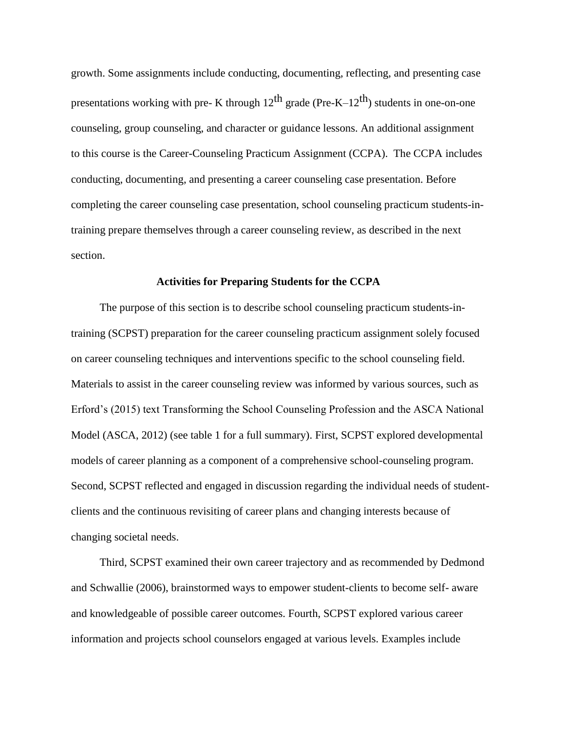growth. Some assignments include conducting, documenting, reflecting, and presenting case presentations working with pre- K through  $12^{th}$  grade (Pre-K– $12^{th}$ ) students in one-on-one counseling, group counseling, and character or guidance lessons. An additional assignment to this course is the Career-Counseling Practicum Assignment (CCPA). The CCPA includes conducting, documenting, and presenting a career counseling case presentation. Before completing the career counseling case presentation, school counseling practicum students-intraining prepare themselves through a career counseling review, as described in the next section.

#### **Activities for Preparing Students for the CCPA**

The purpose of this section is to describe school counseling practicum students-intraining (SCPST) preparation for the career counseling practicum assignment solely focused on career counseling techniques and interventions specific to the school counseling field. Materials to assist in the career counseling review was informed by various sources, such as Erford's (2015) text Transforming the School Counseling Profession and the ASCA National Model (ASCA, 2012) (see table 1 for a full summary). First, SCPST explored developmental models of career planning as a component of a comprehensive school-counseling program. Second, SCPST reflected and engaged in discussion regarding the individual needs of studentclients and the continuous revisiting of career plans and changing interests because of changing societal needs.

Third, SCPST examined their own career trajectory and as recommended by Dedmond and Schwallie (2006), brainstormed ways to empower student-clients to become self- aware and knowledgeable of possible career outcomes. Fourth, SCPST explored various career information and projects school counselors engaged at various levels. Examples include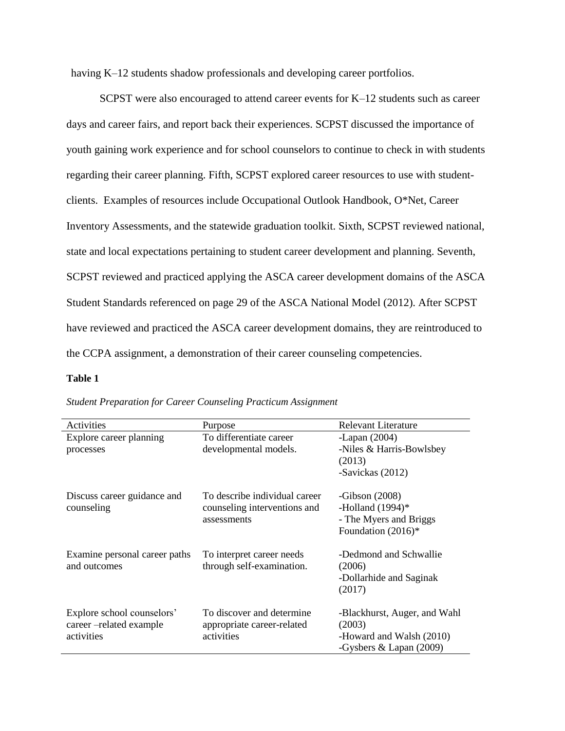having K–12 students shadow professionals and developing career portfolios.

SCPST were also encouraged to attend career events for K–12 students such as career days and career fairs, and report back their experiences. SCPST discussed the importance of youth gaining work experience and for school counselors to continue to check in with students regarding their career planning. Fifth, SCPST explored career resources to use with studentclients. Examples of resources include Occupational Outlook Handbook, O\*Net, Career Inventory Assessments, and the statewide graduation toolkit. Sixth, SCPST reviewed national, state and local expectations pertaining to student career development and planning. Seventh, SCPST reviewed and practiced applying the ASCA career development domains of the ASCA Student Standards referenced on page 29 of the ASCA National Model (2012). After SCPST have reviewed and practiced the ASCA career development domains, they are reintroduced to the CCPA assignment, a demonstration of their career counseling competencies.

### **Table 1**

| Activities                                                         | Purpose                                                               | Relevant Literature                                                                             |  |
|--------------------------------------------------------------------|-----------------------------------------------------------------------|-------------------------------------------------------------------------------------------------|--|
| Explore career planning                                            | To differentiate career                                               | -Lapan $(2004)$                                                                                 |  |
| processes                                                          | developmental models.                                                 | -Niles & Harris-Bowlsbey                                                                        |  |
|                                                                    |                                                                       | (2013)                                                                                          |  |
|                                                                    |                                                                       | -Savickas (2012)                                                                                |  |
| Discuss career guidance and                                        | To describe individual career                                         | -Gibson $(2008)$                                                                                |  |
| counseling                                                         | counseling interventions and                                          | -Holland $(1994)$ *                                                                             |  |
|                                                                    | assessments                                                           | - The Myers and Briggs                                                                          |  |
|                                                                    |                                                                       | Foundation (2016)*                                                                              |  |
| Examine personal career paths<br>and outcomes                      | To interpret career needs<br>through self-examination.                | -Dedmond and Schwallie<br>(2006)<br>-Dollarhide and Saginak<br>(2017)                           |  |
| Explore school counselors'<br>career-related example<br>activities | To discover and determine<br>appropriate career-related<br>activities | -Blackhurst, Auger, and Wahl<br>(2003)<br>-Howard and Walsh (2010)<br>-Gysbers & Lapan $(2009)$ |  |

*Student Preparation for Career Counseling Practicum Assignment*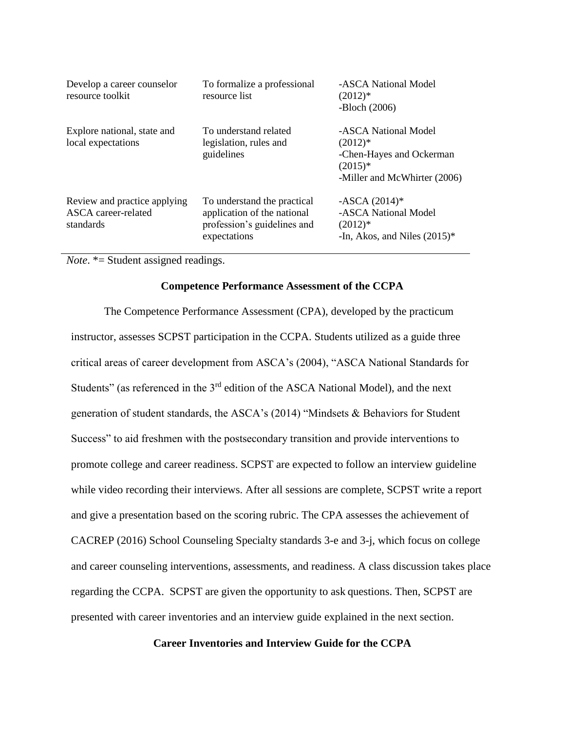| Develop a career counselor<br>resource toolkit                   | To formalize a professional<br>resource list                                                              | -ASCA National Model<br>$(2012)*$<br>$-Bloch(2006)$                                                        |
|------------------------------------------------------------------|-----------------------------------------------------------------------------------------------------------|------------------------------------------------------------------------------------------------------------|
| Explore national, state and<br>local expectations                | To understand related<br>legislation, rules and<br>guidelines                                             | -ASCA National Model<br>$(2012)*$<br>-Chen-Hayes and Ockerman<br>$(2015)*$<br>-Miller and McWhirter (2006) |
| Review and practice applying<br>ASCA career-related<br>standards | To understand the practical<br>application of the national<br>profession's guidelines and<br>expectations | $-ASCA(2014)$ *<br>-ASCA National Model<br>$(2012)*$<br>-In, Akos, and Niles $(2015)^*$                    |

*Note*. \*= Student assigned readings.

#### **Competence Performance Assessment of the CCPA**

The Competence Performance Assessment (CPA), developed by the practicum instructor, assesses SCPST participation in the CCPA. Students utilized as a guide three critical areas of career development from ASCA's (2004), "ASCA National Standards for Students" (as referenced in the 3<sup>rd</sup> edition of the ASCA National Model), and the next generation of student standards, the ASCA's (2014) "Mindsets & Behaviors for Student Success" to aid freshmen with the postsecondary transition and provide interventions to promote college and career readiness. SCPST are expected to follow an interview guideline while video recording their interviews. After all sessions are complete, SCPST write a report and give a presentation based on the scoring rubric. The CPA assesses the achievement of CACREP (2016) School Counseling Specialty standards 3-e and 3-j, which focus on college and career counseling interventions, assessments, and readiness. A class discussion takes place regarding the CCPA. SCPST are given the opportunity to ask questions. Then, SCPST are presented with career inventories and an interview guide explained in the next section.

## **Career Inventories and Interview Guide for the CCPA**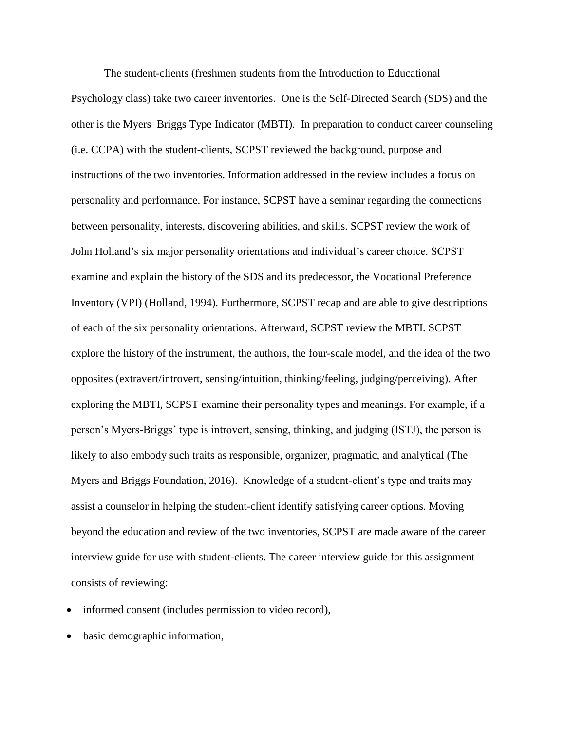The student-clients (freshmen students from the Introduction to Educational Psychology class) take two career inventories. One is the Self-Directed Search (SDS) and the other is the Myers–Briggs Type Indicator (MBTI). In preparation to conduct career counseling (i.e. CCPA) with the student-clients, SCPST reviewed the background, purpose and instructions of the two inventories. Information addressed in the review includes a focus on personality and performance. For instance, SCPST have a seminar regarding the connections between personality, interests, discovering abilities, and skills. SCPST review the work of John Holland's six major personality orientations and individual's career choice. SCPST examine and explain the history of the SDS and its predecessor, the Vocational Preference Inventory (VPI) (Holland, 1994). Furthermore, SCPST recap and are able to give descriptions of each of the six personality orientations. Afterward, SCPST review the MBTI. SCPST explore the history of the instrument, the authors, the four-scale model, and the idea of the two opposites (extravert/introvert, sensing/intuition, thinking/feeling, judging/perceiving). After exploring the MBTI, SCPST examine their personality types and meanings. For example, if a person's Myers-Briggs' type is introvert, sensing, thinking, and judging (ISTJ), the person is likely to also embody such traits as responsible, organizer, pragmatic, and analytical (The Myers and Briggs Foundation, 2016). Knowledge of a student-client's type and traits may assist a counselor in helping the student-client identify satisfying career options. Moving beyond the education and review of the two inventories, SCPST are made aware of the career interview guide for use with student-clients. The career interview guide for this assignment consists of reviewing:

- informed consent (includes permission to video record),
- basic demographic information,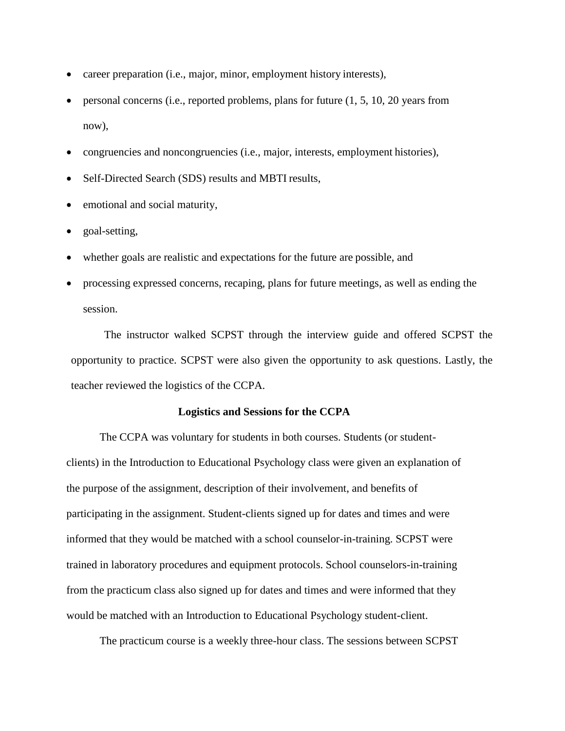- career preparation (i.e., major, minor, employment history interests),
- personal concerns (i.e., reported problems, plans for future (1, 5, 10, 20 years from now),
- congruencies and noncongruencies (i.e., major, interests, employment histories),
- Self-Directed Search (SDS) results and MBTI results,
- emotional and social maturity,
- goal-setting,
- whether goals are realistic and expectations for the future are possible, and
- processing expressed concerns, recaping, plans for future meetings, as well as ending the session.

The instructor walked SCPST through the interview guide and offered SCPST the opportunity to practice. SCPST were also given the opportunity to ask questions. Lastly, the teacher reviewed the logistics of the CCPA.

#### **Logistics and Sessions for the CCPA**

The CCPA was voluntary for students in both courses. Students (or studentclients) in the Introduction to Educational Psychology class were given an explanation of the purpose of the assignment, description of their involvement, and benefits of participating in the assignment. Student-clients signed up for dates and times and were informed that they would be matched with a school counselor-in-training. SCPST were trained in laboratory procedures and equipment protocols. School counselors-in-training from the practicum class also signed up for dates and times and were informed that they would be matched with an Introduction to Educational Psychology student-client.

The practicum course is a weekly three-hour class. The sessions between SCPST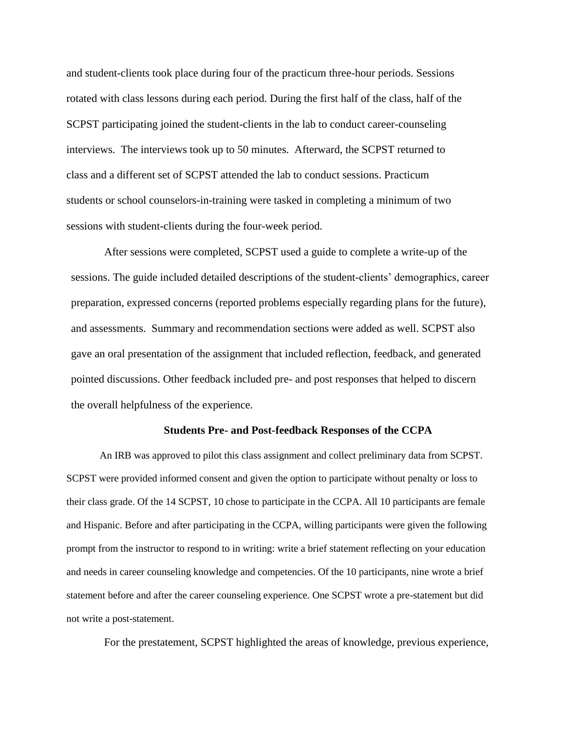and student-clients took place during four of the practicum three-hour periods. Sessions rotated with class lessons during each period. During the first half of the class, half of the SCPST participating joined the student-clients in the lab to conduct career-counseling interviews. The interviews took up to 50 minutes. Afterward, the SCPST returned to class and a different set of SCPST attended the lab to conduct sessions. Practicum students or school counselors-in-training were tasked in completing a minimum of two sessions with student-clients during the four-week period.

After sessions were completed, SCPST used a guide to complete a write-up of the sessions. The guide included detailed descriptions of the student-clients' demographics, career preparation, expressed concerns (reported problems especially regarding plans for the future), and assessments. Summary and recommendation sections were added as well. SCPST also gave an oral presentation of the assignment that included reflection, feedback, and generated pointed discussions. Other feedback included pre- and post responses that helped to discern the overall helpfulness of the experience.

#### **Students Pre- and Post-feedback Responses of the CCPA**

An IRB was approved to pilot this class assignment and collect preliminary data from SCPST. SCPST were provided informed consent and given the option to participate without penalty or loss to their class grade. Of the 14 SCPST, 10 chose to participate in the CCPA. All 10 participants are female and Hispanic. Before and after participating in the CCPA, willing participants were given the following prompt from the instructor to respond to in writing: write a brief statement reflecting on your education and needs in career counseling knowledge and competencies. Of the 10 participants, nine wrote a brief statement before and after the career counseling experience. One SCPST wrote a pre-statement but did not write a post-statement.

For the prestatement, SCPST highlighted the areas of knowledge, previous experience,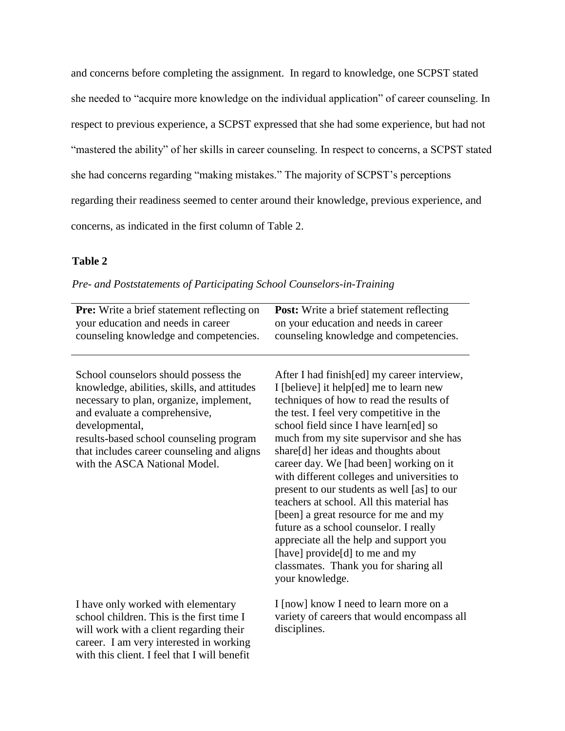and concerns before completing the assignment. In regard to knowledge, one SCPST stated she needed to "acquire more knowledge on the individual application" of career counseling. In respect to previous experience, a SCPST expressed that she had some experience, but had not "mastered the ability" of her skills in career counseling. In respect to concerns, a SCPST stated she had concerns regarding "making mistakes." The majority of SCPST's perceptions regarding their readiness seemed to center around their knowledge, previous experience, and concerns, as indicated in the first column of Table 2.

# **Table 2**

|  | Pre- and Poststatements of Participating School Counselors-in-Training |  |  |  |  |
|--|------------------------------------------------------------------------|--|--|--|--|
|  |                                                                        |  |  |  |  |

| <b>Pre:</b> Write a brief statement reflecting on<br>your education and needs in career<br>counseling knowledge and competencies.                                                                                                                                                                           | <b>Post:</b> Write a brief statement reflecting<br>on your education and needs in career<br>counseling knowledge and competencies.                                                                                                                                                                                                                                                                                                                                                                                                                                                                                                                                                                                               |
|-------------------------------------------------------------------------------------------------------------------------------------------------------------------------------------------------------------------------------------------------------------------------------------------------------------|----------------------------------------------------------------------------------------------------------------------------------------------------------------------------------------------------------------------------------------------------------------------------------------------------------------------------------------------------------------------------------------------------------------------------------------------------------------------------------------------------------------------------------------------------------------------------------------------------------------------------------------------------------------------------------------------------------------------------------|
| School counselors should possess the<br>knowledge, abilities, skills, and attitudes<br>necessary to plan, organize, implement,<br>and evaluate a comprehensive,<br>developmental,<br>results-based school counseling program<br>that includes career counseling and aligns<br>with the ASCA National Model. | After I had finish [ed] my career interview,<br>I [believe] it help[ed] me to learn new<br>techniques of how to read the results of<br>the test. I feel very competitive in the<br>school field since I have learn[ed] so<br>much from my site supervisor and she has<br>share[d] her ideas and thoughts about<br>career day. We [had been] working on it<br>with different colleges and universities to<br>present to our students as well [as] to our<br>teachers at school. All this material has<br>[been] a great resource for me and my<br>future as a school counselor. I really<br>appreciate all the help and support you<br>[have] provide[d] to me and my<br>classmates. Thank you for sharing all<br>your knowledge. |
| I have only worked with elementary<br>school children. This is the first time I<br>will work with a client regarding their<br>career. I am very interested in working<br>with this client. I feel that I will benefit                                                                                       | I [now] know I need to learn more on a<br>variety of careers that would encompass all<br>disciplines.                                                                                                                                                                                                                                                                                                                                                                                                                                                                                                                                                                                                                            |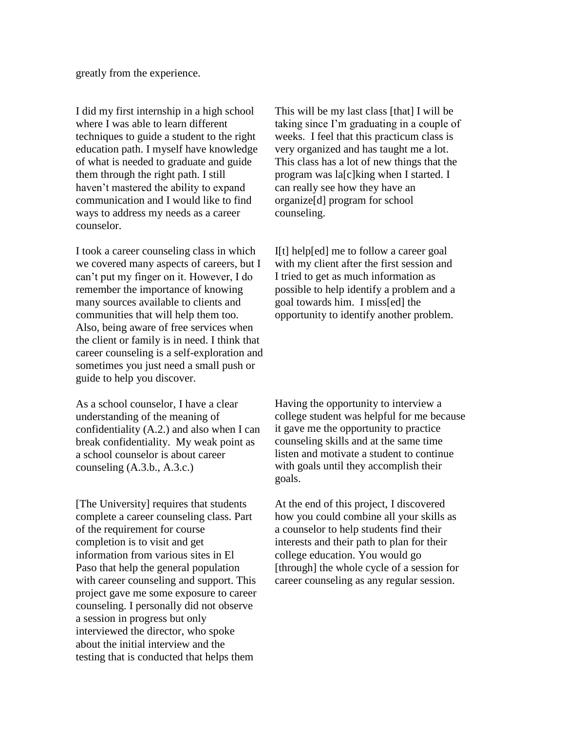greatly from the experience.

I did my first internship in a high school where I was able to learn different techniques to guide a student to the right education path. I myself have knowledge of what is needed to graduate and guide them through the right path. I still haven't mastered the ability to expand communication and I would like to find ways to address my needs as a career counselor.

I took a career counseling class in which we covered many aspects of careers, but I can't put my finger on it. However, I do remember the importance of knowing many sources available to clients and communities that will help them too. Also, being aware of free services when the client or family is in need. I think that career counseling is a self-exploration and sometimes you just need a small push or guide to help you discover.

As a school counselor, I have a clear understanding of the meaning of confidentiality (A.2.) and also when I can break confidentiality. My weak point as a school counselor is about career counseling (A.3.b., A.3.c.)

[The University] requires that students complete a career counseling class. Part of the requirement for course completion is to visit and get information from various sites in El Paso that help the general population with career counseling and support. This project gave me some exposure to career counseling. I personally did not observe a session in progress but only interviewed the director, who spoke about the initial interview and the testing that is conducted that helps them

This will be my last class [that] I will be taking since I'm graduating in a couple of weeks. I feel that this practicum class is very organized and has taught me a lot. This class has a lot of new things that the program was la[c]king when I started. I can really see how they have an organize[d] program for school counseling.

I[t] help[ed] me to follow a career goal with my client after the first session and I tried to get as much information as possible to help identify a problem and a goal towards him. I miss[ed] the opportunity to identify another problem.

Having the opportunity to interview a college student was helpful for me because it gave me the opportunity to practice counseling skills and at the same time listen and motivate a student to continue with goals until they accomplish their goals.

At the end of this project, I discovered how you could combine all your skills as a counselor to help students find their interests and their path to plan for their college education. You would go [through] the whole cycle of a session for career counseling as any regular session.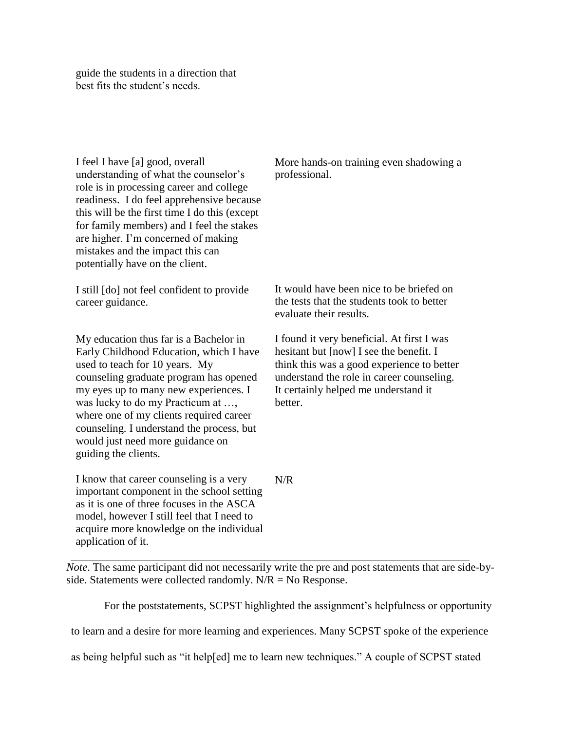guide the students in a direction that best fits the student's needs.

I feel I have [a] good, overall understanding of what the counselor's role is in processing career and college readiness. I do feel apprehensive because this will be the first time I do this (except for family members) and I feel the stakes are higher. I'm concerned of making mistakes and the impact this can potentially have on the client.

I still [do] not feel confident to provide career guidance.

My education thus far is a Bachelor in Early Childhood Education, which I have used to teach for 10 years. My counseling graduate program has opened my eyes up to many new experiences. I was lucky to do my Practicum at …, where one of my clients required career counseling. I understand the process, but would just need more guidance on guiding the clients.

I know that career counseling is a very important component in the school setting as it is one of three focuses in the ASCA model, however I still feel that I need to acquire more knowledge on the individual application of it.

More hands-on training even shadowing a professional.

It would have been nice to be briefed on the tests that the students took to better evaluate their results.

I found it very beneficial. At first I was hesitant but [now] I see the benefit. I think this was a good experience to better understand the role in career counseling. It certainly helped me understand it better.

N/R

*Note*. The same participant did not necessarily write the pre and post statements that are side-byside. Statements were collected randomly.  $N/R = No$  Response.

For the poststatements, SCPST highlighted the assignment's helpfulness or opportunity

to learn and a desire for more learning and experiences. Many SCPST spoke of the experience

as being helpful such as "it help[ed] me to learn new techniques." A couple of SCPST stated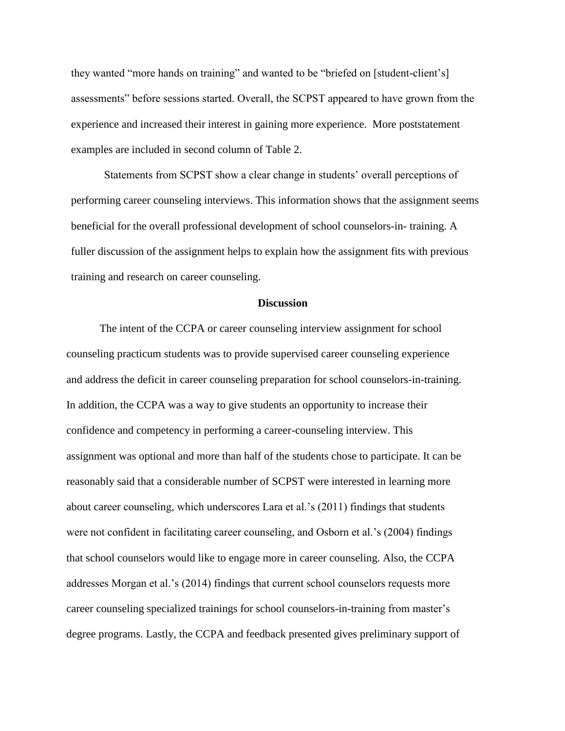they wanted "more hands on training" and wanted to be "briefed on [student-client's] assessments" before sessions started. Overall, the SCPST appeared to have grown from the experience and increased their interest in gaining more experience. More poststatement examples are included in second column of Table 2.

Statements from SCPST show a clear change in students' overall perceptions of performing career counseling interviews. This information shows that the assignment seems beneficial for the overall professional development of school counselors-in- training. A fuller discussion of the assignment helps to explain how the assignment fits with previous training and research on career counseling.

#### **Discussion**

The intent of the CCPA or career counseling interview assignment for school counseling practicum students was to provide supervised career counseling experience and address the deficit in career counseling preparation for school counselors-in-training. In addition, the CCPA was a way to give students an opportunity to increase their confidence and competency in performing a career-counseling interview. This assignment was optional and more than half of the students chose to participate. It can be reasonably said that a considerable number of SCPST were interested in learning more about career counseling, which underscores Lara et al.'s (2011) findings that students were not confident in facilitating career counseling, and Osborn et al.'s (2004) findings that school counselors would like to engage more in career counseling. Also, the CCPA addresses Morgan et al.'s (2014) findings that current school counselors requests more career counseling specialized trainings for school counselors-in-training from master's degree programs. Lastly, the CCPA and feedback presented gives preliminary support of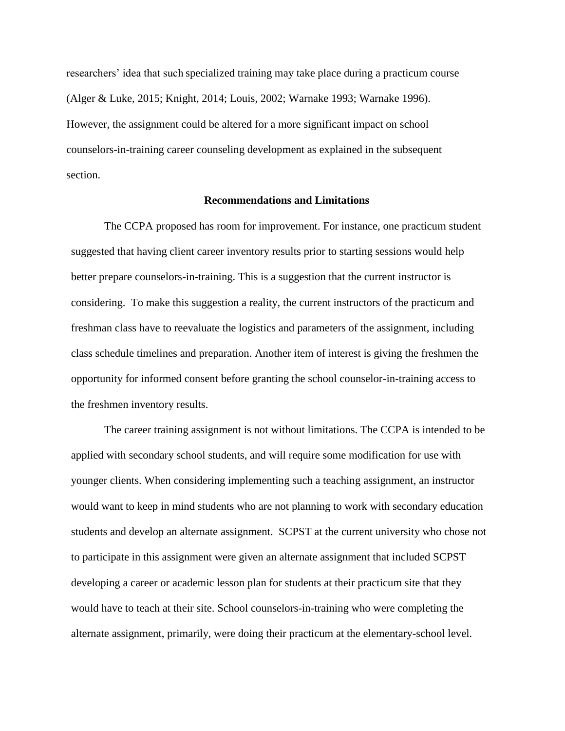researchers' idea that such specialized training may take place during a practicum course (Alger & Luke, 2015; Knight, 2014; Louis, 2002; Warnake 1993; Warnake 1996). However, the assignment could be altered for a more significant impact on school counselors-in-training career counseling development as explained in the subsequent section.

#### **Recommendations and Limitations**

The CCPA proposed has room for improvement. For instance, one practicum student suggested that having client career inventory results prior to starting sessions would help better prepare counselors-in-training. This is a suggestion that the current instructor is considering. To make this suggestion a reality, the current instructors of the practicum and freshman class have to reevaluate the logistics and parameters of the assignment, including class schedule timelines and preparation. Another item of interest is giving the freshmen the opportunity for informed consent before granting the school counselor-in-training access to the freshmen inventory results.

The career training assignment is not without limitations. The CCPA is intended to be applied with secondary school students, and will require some modification for use with younger clients. When considering implementing such a teaching assignment, an instructor would want to keep in mind students who are not planning to work with secondary education students and develop an alternate assignment. SCPST at the current university who chose not to participate in this assignment were given an alternate assignment that included SCPST developing a career or academic lesson plan for students at their practicum site that they would have to teach at their site. School counselors-in-training who were completing the alternate assignment, primarily, were doing their practicum at the elementary-school level.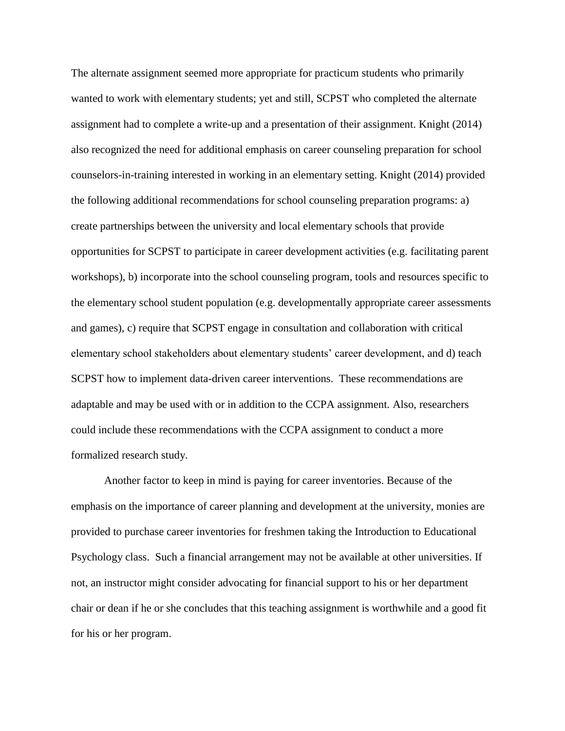The alternate assignment seemed more appropriate for practicum students who primarily wanted to work with elementary students; yet and still, SCPST who completed the alternate assignment had to complete a write-up and a presentation of their assignment. Knight (2014) also recognized the need for additional emphasis on career counseling preparation for school counselors-in-training interested in working in an elementary setting. Knight (2014) provided the following additional recommendations for school counseling preparation programs: a) create partnerships between the university and local elementary schools that provide opportunities for SCPST to participate in career development activities (e.g. facilitating parent workshops), b) incorporate into the school counseling program, tools and resources specific to the elementary school student population (e.g. developmentally appropriate career assessments and games), c) require that SCPST engage in consultation and collaboration with critical elementary school stakeholders about elementary students' career development, and d) teach SCPST how to implement data-driven career interventions. These recommendations are adaptable and may be used with or in addition to the CCPA assignment. Also, researchers could include these recommendations with the CCPA assignment to conduct a more formalized research study.

Another factor to keep in mind is paying for career inventories. Because of the emphasis on the importance of career planning and development at the university, monies are provided to purchase career inventories for freshmen taking the Introduction to Educational Psychology class. Such a financial arrangement may not be available at other universities. If not, an instructor might consider advocating for financial support to his or her department chair or dean if he or she concludes that this teaching assignment is worthwhile and a good fit for his or her program.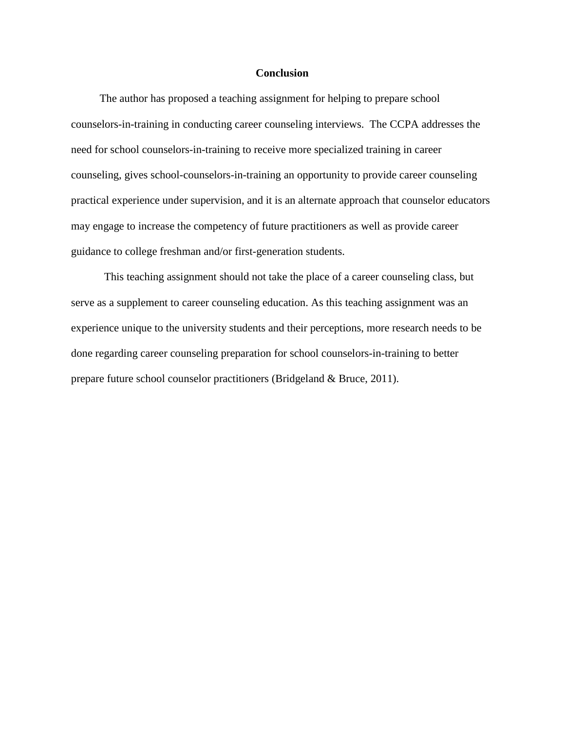#### **Conclusion**

The author has proposed a teaching assignment for helping to prepare school counselors-in-training in conducting career counseling interviews. The CCPA addresses the need for school counselors-in-training to receive more specialized training in career counseling, gives school-counselors-in-training an opportunity to provide career counseling practical experience under supervision, and it is an alternate approach that counselor educators may engage to increase the competency of future practitioners as well as provide career guidance to college freshman and/or first-generation students.

This teaching assignment should not take the place of a career counseling class, but serve as a supplement to career counseling education. As this teaching assignment was an experience unique to the university students and their perceptions, more research needs to be done regarding career counseling preparation for school counselors-in-training to better prepare future school counselor practitioners (Bridgeland & Bruce, 2011).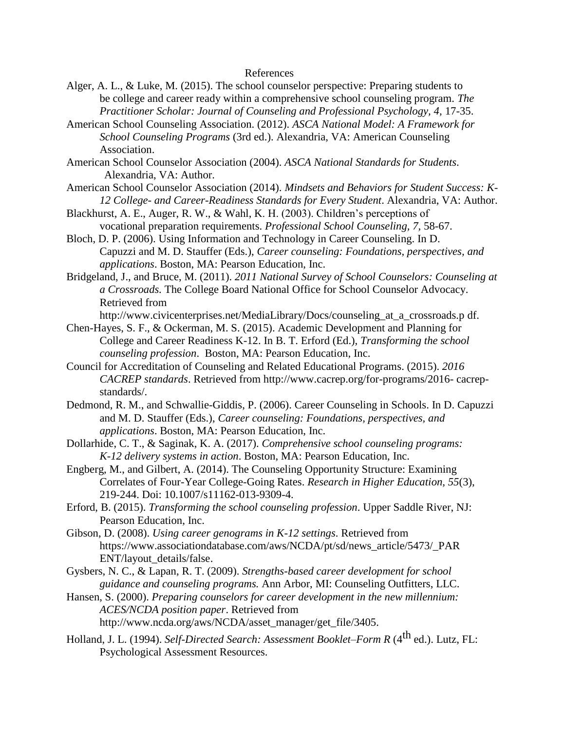### References

- Alger, A. L., & Luke, M. (2015). The school counselor perspective: Preparing students to be college and career ready within a comprehensive school counseling program. *The Practitioner Scholar: Journal of Counseling and Professional Psychology, 4, 17-35.*
- American School Counseling Association. (2012). *ASCA National Model: A Framework for School Counseling Programs* (3rd ed.). Alexandria, VA: American Counseling Association.
- American School Counselor Association (2004). *ASCA National Standards for Students*. Alexandria, VA: Author.
- American School Counselor Association (2014). *Mindsets and Behaviors for Student Success: K-12 College- and Career-Readiness Standards for Every Student*. Alexandria, VA: Author.
- Blackhurst, A. E., Auger, R. W., & Wahl, K. H. (2003). Children's perceptions of vocational preparation requirements. *Professional School Counseling, 7,* 58-67.
- Bloch, D. P. (2006). Using Information and Technology in Career Counseling. In D. Capuzzi and M. D. Stauffer (Eds.), *Career counseling: Foundations, perspectives, and applications*. Boston, MA: Pearson Education, Inc.
- Bridgeland, J., and Bruce, M. (2011). *2011 National Survey of School Counselors: Counseling at a Crossroads.* The College Board National Office for School Counselor Advocacy. Retrieved from

[http://www.civicenterprises.net/MediaLibrary/Docs/counseling\\_at\\_a\\_crossroads.p](http://www.civicenterprises.net/MediaLibrary/Docs/counseling_at_a_crossroads.p) df.

- Chen-Hayes, S. F., & Ockerman, M. S. (2015). Academic Development and Planning for College and Career Readiness K-12. In B. T. Erford (Ed.), *Transforming the school counseling profession*. Boston, MA: Pearson Education, Inc.
- Council for Accreditation of Counseling and Related Educational Programs. (2015). *2016 CACREP standards*. Retrieved f[rom http://www.cacrep.org/for-programs/2016-](http://www.cacrep.org/for-programs/2016-) cacrepstandards/.
- Dedmond, R. M., and Schwallie-Giddis, P. (2006). Career Counseling in Schools. In D. Capuzzi and M. D. Stauffer (Eds.), *Career counseling: Foundations, perspectives, and applications*. Boston, MA: Pearson Education, Inc.
- Dollarhide, C. T., & Saginak, K. A. (2017). *Comprehensive school counseling programs: K-12 delivery systems in action*. Boston, MA: Pearson Education, Inc.
- Engberg, M., and Gilbert, A. (2014). The Counseling Opportunity Structure: Examining Correlates of Four-Year College-Going Rates. *Research in Higher Education, 55*(3), 219-244. Doi: 10.1007/s11162-013-9309-4.
- Erford, B. (2015). *Transforming the school counseling profession*. Upper Saddle River, NJ: Pearson Education, Inc.
- Gibson, D. (2008). *Using career genograms in K-12 settings*. Retrieved from https://www.associationdatabase.com/aws/NCDA/pt/sd/news\_article/5473/\_PAR ENT/layout\_details/false.
- Gysbers, N. C., & Lapan, R. T. (2009). *Strengths-based career development for school guidance and counseling programs.* Ann Arbor, MI: Counseling Outfitters, LLC.
- Hansen, S. (2000). *Preparing counselors for career development in the new millennium: ACES/NCDA position paper*. Retrieved from [http://www.ncda.org/aws/NCDA/asset\\_manager/get\\_file/3405.](http://www.ncda.org/aws/NCDA/asset_manager/get_file/3405)
- Holland, J. L. (1994). *Self-Directed Search: Assessment Booklet–Form R* (4<sup>th</sup> ed.). Lutz, FL: Psychological Assessment Resources.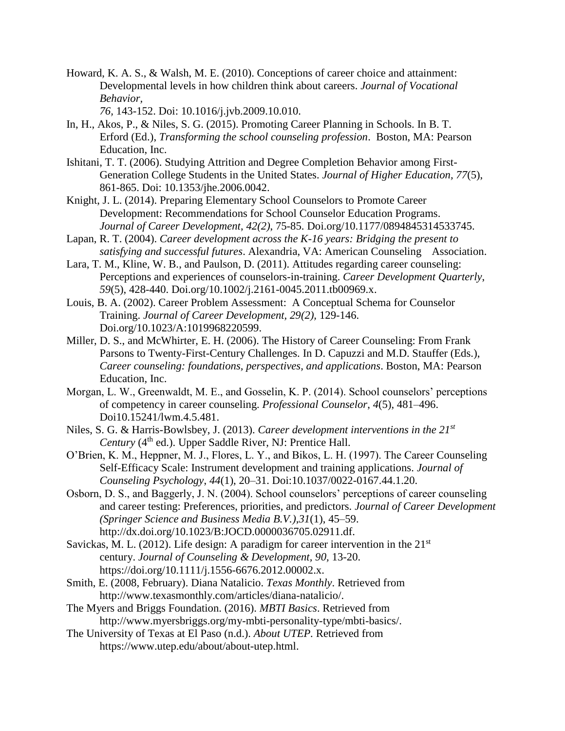Howard, K. A. S., & Walsh, M. E. (2010). Conceptions of career choice and attainment: Developmental levels in how children think about careers. *Journal of Vocational Behavior,* 

*76,* 143-152. Doi: 10.1016/j.jvb.2009.10.010.

- In, H., Akos, P., & Niles, S. G. (2015). Promoting Career Planning in Schools. In B. T. Erford (Ed.), *Transforming the school counseling profession*. Boston, MA: Pearson Education, Inc.
- Ishitani, T. T. (2006). Studying Attrition and Degree Completion Behavior among First-Generation College Students in the United States. *Journal of Higher Education, 77*(5), 861-865. Doi: 10.1353/jhe.2006.0042.
- Knight, J. L. (2014). Preparing Elementary School Counselors to Promote Career Development: Recommendations for School Counselor Education Programs. *Journal of Career Development*, *42(2)*, 75-85. Doi.org/10.1177/0894845314533745.
- Lapan, R. T. (2004). *Career development across the K-16 years: Bridging the present to satisfying and successful futures*. Alexandria, VA: American Counseling Association.
- Lara, T. M., Kline, W. B., and Paulson, D. (2011). Attitudes regarding career counseling: Perceptions and experiences of counselors-in-training. *Career Development Quarterly*, *59*(5), 428-440. Doi.org/10.1002/j.2161-0045.2011.tb00969.x.
- Louis, B. A. (2002). Career Problem Assessment: A Conceptual Schema for Counselor Training. *Journal of Career Development, 29(2),* 129-146. Doi.org/10.1023/A:1019968220599.
- Miller, D. S., and McWhirter, E. H. (2006). The History of Career Counseling: From Frank Parsons to Twenty-First-Century Challenges. In D. Capuzzi and M.D. Stauffer (Eds.), *Career counseling: foundations, perspectives, and applications*. Boston, MA: Pearson Education, Inc.
- Morgan, L. W., Greenwaldt, M. E., and Gosselin, K. P. (2014). School counselors' perceptions of competency in career counseling. *Professional Counselor*, *4*(5), 481–496. Doi10.15241/lwm.4.5.481.
- Niles, S. G. & Harris-Bowlsbey, J. (2013). *Career development interventions in the 21st Century* (4<sup>th</sup> ed.). Upper Saddle River, NJ: Prentice Hall.
- O'Brien, K. M., Heppner, M. J., Flores, L. Y., and Bikos, L. H. (1997). The Career Counseling Self-Efficacy Scale: Instrument development and training applications. *Journal of Counseling Psychology*, *44*(1), 20–31. Doi:10.1037/0022-0167.44.1.20.
- Osborn, D. S., and Baggerly, J. N. (2004). School counselors' perceptions of career counseling and career testing: Preferences, priorities, and predictors. *Journal of Career Development (Springer Science and Business Media B.V.)*,*31*(1), 45–59. http://dx.doi.org/10.1023/B:JOCD.0000036705.02911.df.
- Savickas, M. L. (2012). Life design: A paradigm for career intervention in the  $21<sup>st</sup>$ century. *Journal of Counseling & Development, 90,* 13-20. https://doi.org/10.1111/j.1556-6676.2012.00002.x.
- Smith, E. (2008, February). Diana Natalicio. *Texas Monthly*. Retrieved from [http://www.texasmonthly.com/articles/diana-natalicio/.](http://www.texasmonthly.com/articles/diana-natalicio/)
- The Myers and Briggs Foundation. (2016). *MBTI Basics*. Retrieved from [http://www.myersbriggs.org/my-mbti-personality-type/mbti-basics/.](http://www.myersbriggs.org/my-mbti-personality-type/mbti-basics/)
- The University of Texas at El Paso (n.d.). *About UTEP.* Retrieved from ht[tps://www.utep.edu/about/about-utep.html.](http://www.utep.edu/about/about-utep.html)